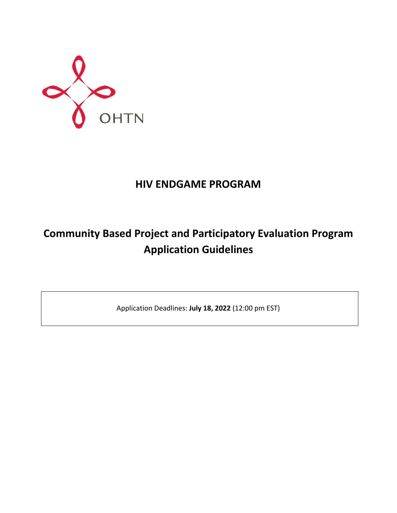

## **HIV ENDGAME PROGRAM**

# **Community Based Project and Participatory Evaluation Program Application Guidelines**

Application Deadlines: **July 18, 2022** (12:00 pm EST)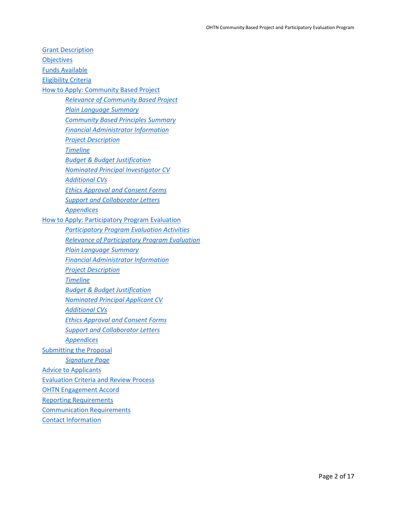Grant [Description](#page-2-0) **[Objectives](#page-2-1)** [Funds Available](#page-2-2) [Eligibility Criteria](#page-3-0) [How to Apply: Community Based Project](#page-3-1)  *Relevance [of Community Based Project](#page-4-0) [Plain Language Summary](#page-10-0) Community Based [Principles Summary](#page-5-0) [Financial Administrator Information](#page-5-1) [Project Description](#page-5-2) [Timeline](#page-6-0) [Budget & Budget Justification](#page-6-1) [Nominated Principal Investigator](#page-7-0) CV [Additional CVs](#page-7-1) [Ethics Approval and Consent Forms](#page-7-2)  [Support and Collaborator Letters](#page-8-0) [Appendices](#page-8-1)* [How to Apply: Participatory Program Evaluation](#page-8-2) *[Participatory Program Evaluation Activities](#page-9-0) [Relevance of Participatory Program Evaluation](#page-10-1) [Plain Language Summary](#page-10-0) [Financial Administrator Information](#page-10-2) [Project Description](#page-10-3) [Timeline](#page-6-0) [Budget & Budget Justification](#page-11-0) [Nominated Principal Applicant CV](#page-12-0) [Additional CVs](#page-12-1) [Ethics Approval and Consent Forms](#page-12-2) [Support and Collaborator Letters](#page-13-0) [Appendices](#page-13-1)* [Submitting the Proposal](#page-13-2) *[Signature Page](#page-13-3)* [Advice to Applicants](#page-14-0) [Evaluation Criteria and Review Process](#page-15-0) [OHTN Engagement Accord](#page-15-1) [Reporting Requirements](#page-15-2) [Communication Requirements](#page-16-0) [Contact Information](#page-16-1)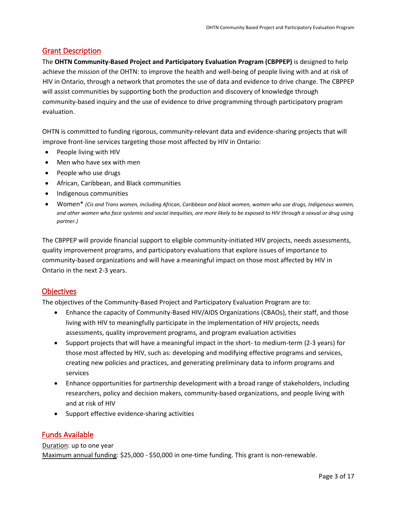## <span id="page-2-0"></span>Grant Description

The **OHTN Community-Based Project and Participatory Evaluation Program (CBPPEP)** is designed to help achieve the mission of the OHTN: to improve the health and well-being of people living with and at risk of HIV in Ontario, through a network that promotes the use of data and evidence to drive change. The CBPPEP will assist communities by supporting both the production and discovery of knowledge through community-based inquiry and the use of evidence to drive programming through participatory program evaluation.

OHTN is committed to funding rigorous, community-relevant data and evidence-sharing projects that will improve front-line services targeting those most affected by HIV in Ontario:

- People living with HIV
- Men who have sex with men
- People who use drugs
- African, Caribbean, and Black communities
- Indigenous communities
- Women\* *(Cis and Trans women, including African, Caribbean and black women, women who use drugs, Indigenous women, and other women who face systemic and social inequities, are more likely to be exposed to HIV through a sexual or drug using partner.)*

The CBPPEP will provide financial support to eligible community-initiated HIV projects, needs assessments, quality improvement programs, and participatory evaluations that explore issues of importance to community-based organizations and will have a meaningful impact on those most affected by HIV in Ontario in the next 2-3 years.

## <span id="page-2-1"></span>**Objectives**

The objectives of the Community-Based Project and Participatory Evaluation Program are to:

- Enhance the capacity of Community-Based HIV/AIDS Organizations (CBAOs), their staff, and those living with HIV to meaningfully participate in the implementation of HIV projects, needs assessments, quality improvement programs, and program evaluation activities
- Support projects that will have a meaningful impact in the short- to medium-term (2-3 years) for those most affected by HIV, such as: developing and modifying effective programs and services, creating new policies and practices, and generating preliminary data to inform programs and services
- Enhance opportunities for partnership development with a broad range of stakeholders, including researchers, policy and decision makers, community-based organizations, and people living with and at risk of HIV
- Support effective evidence-sharing activities

## <span id="page-2-2"></span>Funds Available

#### Duration: up to one year

Maximum annual funding: \$25,000 - \$50,000 in one-time funding. This grant is non-renewable.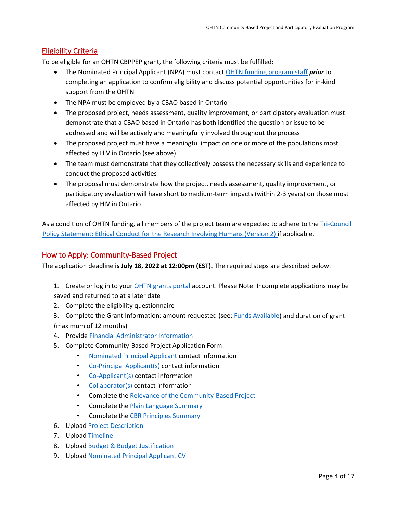## <span id="page-3-0"></span>Eligibility Criteria

To be eligible for an OHTN CBPPEP grant, the following criteria must be fulfilled:

- The Nominated Principal Applicant (NPA) must contact [OHTN funding program staff](mailto:funding@ohtn.on.ca) *prior* to completing an application to confirm eligibility and discuss potential opportunities for in-kind support from the OHTN
- The NPA must be employed by a CBAO based in Ontario
- The proposed project, needs assessment, quality improvement, or participatory evaluation must demonstrate that a CBAO based in Ontario has both identified the question or issue to be addressed and will be actively and meaningfully involved throughout the process
- The proposed project must have a meaningful impact on one or more of the populations most affected by HIV in Ontario (see above)
- The team must demonstrate that they collectively possess the necessary skills and experience to conduct the proposed activities
- The proposal must demonstrate how the project, needs assessment, quality improvement, or participatory evaluation will have short to medium-term impacts (within 2-3 years) on those most affected by HIV in Ontario

As a condition of OHTN funding, all members of the project team are expected to adhere to the *Tri[-Council](http://www.pre.ethics.gc.ca/eng/policy-politique/initiatives/tcps2-eptc2/Default/)* [Policy Statement: Ethical Conduct for the Research Involving Humans \(Version 2\)](http://www.pre.ethics.gc.ca/eng/policy-politique_tcps2-eptc2_2018.html) if applicable.

## <span id="page-3-1"></span>How to Apply: Community-Based Project

The application deadline **is July 18, 2022 at 12:00pm (EST).** The required steps are described below.

- 1. Create or log in to your [OHTN grants portal](https://apply-ohtn-on.smapply.io/) account. Please Note: Incomplete applications may be saved and returned to at a later date
- 2. Complete the eligibility questionnaire
- 3. Complete the Grant Information: amount requested (see: **Funds Available)** and duration of grant (maximum of 12 months)
- 4. Provide [Financial Administrator Information](#page-4-1)
- 5. Complete Community-Based Project Application Form:
	- [Nominated Principal Applicant](#page-4-2) contact information
	- [Co-Principal Applicant\(s\)](#page-4-3) contact information
	- [Co-Applicant\(s\)](#page-4-4) contact information
	- [Collaborator\(s\)](#page-4-5) contact information
	- Complete th[e Relevance of the Community-Based Project](#page-4-0)
	- Complete th[e Plain Language Summary](#page-5-3)
	- Complete the CBR Principles Summary
- 6. Upload [Project Description](#page-5-2)
- 7. Upload [Timeline](#page-6-0)
- 8. Upload [Budget & Budget Justification](#page-6-1)
- 9. Upload [Nominated Principal Applicant](#page-7-0) CV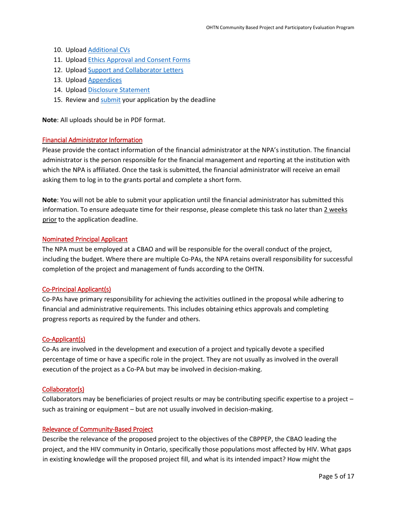- 10. Upload [Additional](#page-7-1) CVs
- 11. Upload [Ethics Approval and Consent Forms](#page-7-2)
- 12. Upload [Support and Collaborator Letters](#page-8-0)
- 13. Upload [Appendices](#page-8-1)
- 14. Upload [Disclosure Statement](https://apply-ohtn-on.smapply.io/protected/resource/eyJoZnJlIjogOTkyMzg1MzAsICJ2cSI6IDE3Mzc3Nn0/)
- 15. Review and [submit](#page-13-2) your application by the deadline

**Note**: All uploads should be in PDF format.

#### <span id="page-4-1"></span>Financial Administrator Information

Please provide the contact information of the financial administrator at the NPA's institution. The financial administrator is the person responsible for the financial management and reporting at the institution with which the NPA is affiliated. Once the task is submitted, the financial administrator will receive an email asking them to log in to the grants portal and complete a short form.

**Note**: You will not be able to submit your application until the financial administrator has submitted this information. To ensure adequate time for their response, please complete this task no later than 2 weeks prior to the application deadline.

#### <span id="page-4-2"></span>Nominated Principal Applicant

The NPA must be employed at a CBAO and will be responsible for the overall conduct of the project, including the budget. Where there are multiple Co-PAs, the NPA retains overall responsibility for successful completion of the project and management of funds according to the OHTN.

#### <span id="page-4-3"></span>Co-Principal Applicant(s)

Co-PAs have primary responsibility for achieving the activities outlined in the proposal while adhering to financial and administrative requirements. This includes obtaining ethics approvals and completing progress reports as required by the funder and others.

#### <span id="page-4-4"></span>Co-Applicant(s)

Co-As are involved in the development and execution of a project and typically devote a specified percentage of time or have a specific role in the project. They are not usually as involved in the overall execution of the project as a Co-PA but may be involved in decision-making.

#### <span id="page-4-5"></span>Collaborator(s)

Collaborators may be beneficiaries of project results or may be contributing specific expertise to a project – such as training or equipment – but are not usually involved in decision-making.

#### <span id="page-4-0"></span>Relevance of Community-Based Project

Describe the relevance of the proposed project to the objectives of the CBPPEP, the CBAO leading the project, and the HIV community in Ontario, specifically those populations most affected by HIV. What gaps in existing knowledge will the proposed project fill, and what is its intended impact? How might the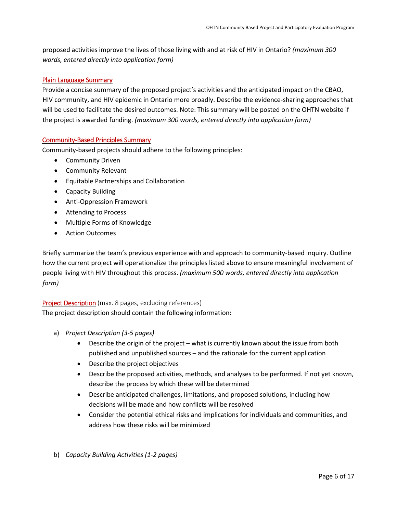proposed activities improve the lives of those living with and at risk of HIV in Ontario? *(maximum 300 words, entered directly into application form)*

#### <span id="page-5-3"></span>Plain Language Summary

Provide a concise summary of the proposed project's activities and the anticipated impact on the CBAO, HIV community, and HIV epidemic in Ontario more broadly. Describe the evidence-sharing approaches that will be used to facilitate the desired outcomes. Note: This summary will be posted on the OHTN website if the project is awarded funding. *(maximum 300 words, entered directly into application form)*

#### <span id="page-5-0"></span>Community-Based Principles Summary

Community-based projects should adhere to the following principles:

- Community Driven
- Community Relevant
- Equitable Partnerships and Collaboration
- Capacity Building
- Anti-Oppression Framework
- Attending to Process
- Multiple Forms of Knowledge
- Action Outcomes

Briefly summarize the team's previous experience with and approach to community-based inquiry. Outline how the current project will operationalize the principles listed above to ensure meaningful involvement of people living with HIV throughout this process. *(maximum 500 words, entered directly into application form)*

#### <span id="page-5-2"></span><span id="page-5-1"></span>Project Description (max. 8 pages, excluding references)

The project description should contain the following information:

- a) *Project Description (3-5 pages)*
	- Describe the origin of the project what is currently known about the issue from both published and unpublished sources – and the rationale for the current application
	- Describe the project objectives
	- Describe the proposed activities, methods, and analyses to be performed. If not yet known, describe the process by which these will be determined
	- Describe anticipated challenges, limitations, and proposed solutions, including how decisions will be made and how conflicts will be resolved
	- Consider the potential ethical risks and implications for individuals and communities, and address how these risks will be minimized
- b) *Capacity Building Activities (1-2 pages)*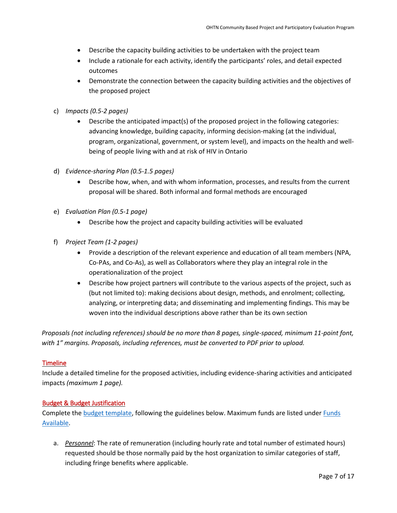- Describe the capacity building activities to be undertaken with the project team
- Include a rationale for each activity, identify the participants' roles, and detail expected outcomes
- Demonstrate the connection between the capacity building activities and the objectives of the proposed project
- c) *Impacts (0.5-2 pages)*
	- Describe the anticipated impact(s) of the proposed project in the following categories: advancing knowledge, building capacity, informing decision-making (at the individual, program, organizational, government, or system level), and impacts on the health and wellbeing of people living with and at risk of HIV in Ontario
- d) *Evidence-sharing Plan (0.5-1.5 pages)*
	- Describe how, when, and with whom information, processes, and results from the current proposal will be shared. Both informal and formal methods are encouraged
- e) *Evaluation Plan (0.5-1 page)*
	- Describe how the project and capacity building activities will be evaluated
- f) *Project Team (1-2 pages)*
	- Provide a description of the relevant experience and education of all team members (NPA, Co-PAs, and Co-As), as well as Collaborators where they play an integral role in the operationalization of the project
	- Describe how project partners will contribute to the various aspects of the project, such as (but not limited to): making decisions about design, methods, and enrolment; collecting, analyzing, or interpreting data; and disseminating and implementing findings. This may be woven into the individual descriptions above rather than be its own section

*Proposals (not including references) should be no more than 8 pages, single-spaced, minimum 11-point font, with 1" margins. Proposals, including references, must be converted to PDF prior to upload.*

#### <span id="page-6-0"></span>**Timeline**

Include a detailed timeline for the proposed activities, including evidence-sharing activities and anticipated impacts *(maximum 1 page).*

#### <span id="page-6-1"></span>Budget & Budget Justification

Complete th[e budget template,](https://apply-ohtn-on.smapply.io/protected/resource/eyJoZnJlIjogOTkyMzg1MzAsICJ2cSI6IDE2MTg4Nn0/) following the guidelines below. Maximum funds are listed under *Funds* [Available.](#page-2-2)

a. *Personnel*: The rate of remuneration (including hourly rate and total number of estimated hours) requested should be those normally paid by the host organization to similar categories of staff, including fringe benefits where applicable.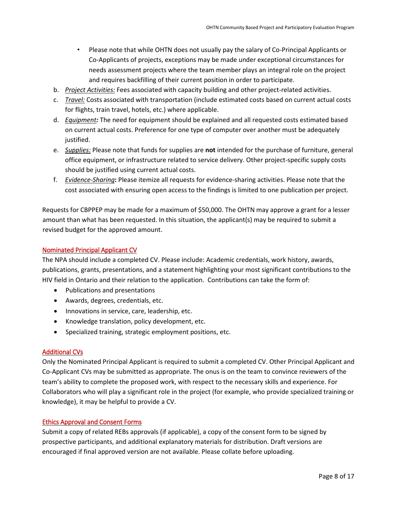- Please note that while OHTN does not usually pay the salary of Co-Principal Applicants or Co-Applicants of projects, exceptions may be made under exceptional circumstances for needs assessment projects where the team member plays an integral role on the project and requires backfilling of their current position in order to participate.
- b. *Project Activities:* Fees associated with capacity building and other project-related activities.
- c. *Travel:* Costs associated with transportation (include estimated costs based on current actual costs for flights, train travel, hotels, etc.) where applicable.
- d. *Equipment:* The need for equipment should be explained and all requested costs estimated based on current actual costs. Preference for one type of computer over another must be adequately justified.
- e. *Supplies:* Please note that funds for supplies are **not** intended for the purchase of furniture, general office equipment, or infrastructure related to service delivery. Other project-specific supply costs should be justified using current actual costs.
- f. *Evidence-Sharing***:** Please itemize all requests for evidence-sharing activities. Please note that the cost associated with ensuring open access to the findings is limited to one publication per project.

Requests for CBPPEP may be made for a maximum of \$50,000. The OHTN may approve a grant for a lesser amount than what has been requested. In this situation, the applicant(s) may be required to submit a revised budget for the approved amount.

#### <span id="page-7-0"></span>Nominated Principal Applicant CV

The NPA should include a completed CV. Please include: Academic credentials, work history, awards, publications, grants, presentations, and a statement highlighting your most significant contributions to the HIV field in Ontario and their relation to the application. Contributions can take the form of:

- Publications and presentations
- Awards, degrees, credentials, etc.
- Innovations in service, care, leadership, etc.
- Knowledge translation, policy development, etc.
- Specialized training, strategic employment positions, etc.

#### <span id="page-7-1"></span>Additional CVs

Only the Nominated Principal Applicant is required to submit a completed CV. Other Principal Applicant and Co-Applicant CVs may be submitted as appropriate. The onus is on the team to convince reviewers of the team's ability to complete the proposed work, with respect to the necessary skills and experience. For Collaborators who will play a significant role in the project (for example, who provide specialized training or knowledge), it may be helpful to provide a CV.

#### <span id="page-7-2"></span>Ethics Approval and Consent Forms

Submit a copy of related REBs approvals (if applicable), a copy of the consent form to be signed by prospective participants, and additional explanatory materials for distribution. Draft versions are encouraged if final approved version are not available. Please collate before uploading.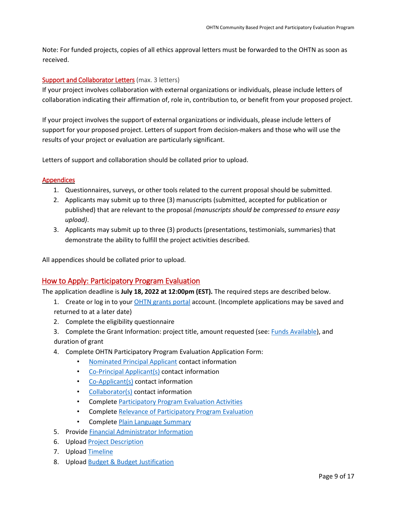Note: For funded projects, copies of all ethics approval letters must be forwarded to the OHTN as soon as received.

#### <span id="page-8-0"></span>Support and Collaborator Letters (max. 3 letters)

If your project involves collaboration with external organizations or individuals, please include letters of collaboration indicating their affirmation of, role in, contribution to, or benefit from your proposed project.

If your project involves the support of external organizations or individuals, please include letters of support for your proposed project. Letters of support from decision-makers and those who will use the results of your project or evaluation are particularly significant.

Letters of support and collaboration should be collated prior to upload.

#### <span id="page-8-1"></span>**Appendices**

- 1. Questionnaires, surveys, or other tools related to the current proposal should be submitted.
- 2. Applicants may submit up to three (3) manuscripts (submitted, accepted for publication or published) that are relevant to the proposal *(manuscripts should be compressed to ensure easy upload)*.
- 3. Applicants may submit up to three (3) products (presentations, testimonials, summaries) that demonstrate the ability to fulfill the project activities described.

All appendices should be collated prior to upload.

## <span id="page-8-2"></span>How to Apply: Participatory Program Evaluation

The application deadline is **July 18, 2022 at 12:00pm (EST).** The required steps are described below.

- 1. Create or log in to your [OHTN grants portal](https://apply-ohtn-on.smapply.io/) account. (Incomplete applications may be saved and returned to at a later date)
- 2. Complete the eligibility questionnaire
- 3. Complete the Grant Information: project title, amount requested (see[: Funds Available\)](#page-2-2), and duration of grant
- 4. Complete OHTN Participatory Program Evaluation Application Form:
	- [Nominated Principal](#page-9-1) Applicant contact information
	- [Co-Principal Applicant\(s\)](#page-9-2) contact information
	- [Co-Applicant\(s\)](#page-9-3) contact information
	- [Collaborator\(s\)](#page-9-4) contact information
	- Complete [Participatory Program Evaluation Activities](#page-9-0)
	- Complete [Relevance of Participatory Program Evaluation](#page-10-1)
	- Complete [Plain Language Summary](#page-10-0)
- 5. Provide [Financial Administrator Information](#page-10-2)
- 6. Upload [Project Description](#page-10-3)
- 7. Upload [Timeline](#page-11-1)
- 8. Upload [Budget & Budget Justification](#page-11-0)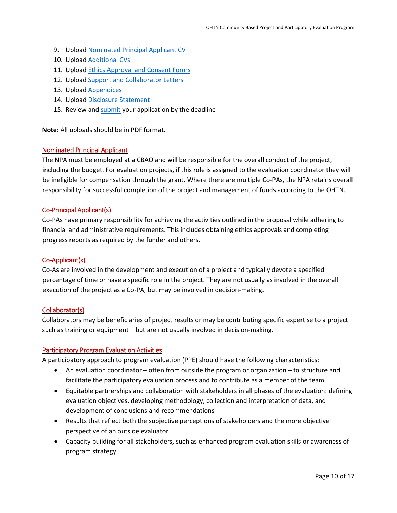- 9. Upload [Nominated Principal Applicant](#page-12-0) CV
- 10. Upload **Additional CVs**
- 11. Upload [Ethics Approval and Consent Forms](#page-12-2)
- 12. Upload [Support and Collaborator Letters](#page-13-0)
- 13. Upload [Appendices](#page-13-1)
- 14. Upload [Disclosure Statement](https://apply-ohtn-on.smapply.io/protected/resource/eyJoZnJlIjogOTkyMzg1MzAsICJ2cSI6IDE3Mzc3Nn0/)
- 15. Review and [submit](#page-13-2) your application by the deadline

**Note**: All uploads should be in PDF format.

#### <span id="page-9-1"></span>Nominated Principal Applicant

The NPA must be employed at a CBAO and will be responsible for the overall conduct of the project, including the budget. For evaluation projects, if this role is assigned to the evaluation coordinator they will be ineligible for compensation through the grant. Where there are multiple Co-PAs, the NPA retains overall responsibility for successful completion of the project and management of funds according to the OHTN.

#### <span id="page-9-2"></span>Co-Principal Applicant(s)

Co-PAs have primary responsibility for achieving the activities outlined in the proposal while adhering to financial and administrative requirements. This includes obtaining ethics approvals and completing progress reports as required by the funder and others.

#### <span id="page-9-3"></span>Co-Applicant(s)

Co-As are involved in the development and execution of a project and typically devote a specified percentage of time or have a specific role in the project. They are not usually as involved in the overall execution of the project as a Co-PA, but may be involved in decision-making.

#### <span id="page-9-4"></span>Collaborator(s)

Collaborators may be beneficiaries of project results or may be contributing specific expertise to a project – such as training or equipment – but are not usually involved in decision-making.

#### <span id="page-9-0"></span>Participatory Program Evaluation Activities

A participatory approach to program evaluation (PPE) should have the following characteristics:

- An evaluation coordinator often from outside the program or organization to structure and facilitate the participatory evaluation process and to contribute as a member of the team
- Equitable partnerships and collaboration with stakeholders in all phases of the evaluation: defining evaluation objectives, developing methodology, collection and interpretation of data, and development of conclusions and recommendations
- Results that reflect both the subjective perceptions of stakeholders and the more objective perspective of an outside evaluator
- Capacity building for all stakeholders, such as enhanced program evaluation skills or awareness of program strategy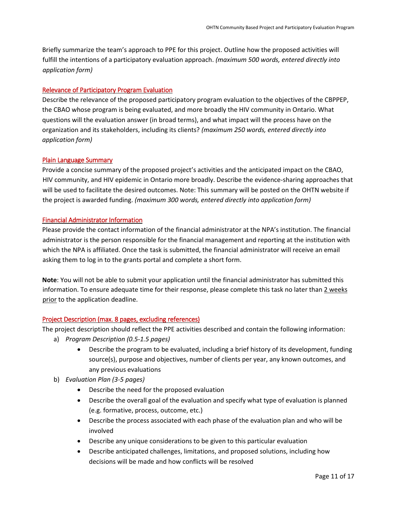Briefly summarize the team's approach to PPE for this project. Outline how the proposed activities will fulfill the intentions of a participatory evaluation approach. *(maximum 500 words, entered directly into application form)*

#### <span id="page-10-1"></span>Relevance of Participatory Program Evaluation

Describe the relevance of the proposed participatory program evaluation to the objectives of the CBPPEP, the CBAO whose program is being evaluated, and more broadly the HIV community in Ontario. What questions will the evaluation answer (in broad terms), and what impact will the process have on the organization and its stakeholders, including its clients? *(maximum 250 words, entered directly into application form)* 

#### <span id="page-10-0"></span>Plain Language Summary

Provide a concise summary of the proposed project's activities and the anticipated impact on the CBAO, HIV community, and HIV epidemic in Ontario more broadly. Describe the evidence-sharing approaches that will be used to facilitate the desired outcomes. Note: This summary will be posted on the OHTN website if the project is awarded funding. *(maximum 300 words, entered directly into application form)*

#### <span id="page-10-2"></span>Financial Administrator Information

Please provide the contact information of the financial administrator at the NPA's institution. The financial administrator is the person responsible for the financial management and reporting at the institution with which the NPA is affiliated. Once the task is submitted, the financial administrator will receive an email asking them to log in to the grants portal and complete a short form.

**Note**: You will not be able to submit your application until the financial administrator has submitted this information. To ensure adequate time for their response, please complete this task no later than 2 weeks prior to the application deadline.

#### <span id="page-10-3"></span>Project Description (max. 8 pages, excluding references)

The project description should reflect the PPE activities described and contain the following information:

- a) *Program Description (0.5-1.5 pages)*
	- Describe the program to be evaluated, including a brief history of its development, funding source(s), purpose and objectives, number of clients per year, any known outcomes, and any previous evaluations
- b) *Evaluation Plan (3-5 pages)*
	- Describe the need for the proposed evaluation
	- Describe the overall goal of the evaluation and specify what type of evaluation is planned (e.g. formative, process, outcome, etc.)
	- Describe the process associated with each phase of the evaluation plan and who will be involved
	- Describe any unique considerations to be given to this particular evaluation
	- Describe anticipated challenges, limitations, and proposed solutions, including how decisions will be made and how conflicts will be resolved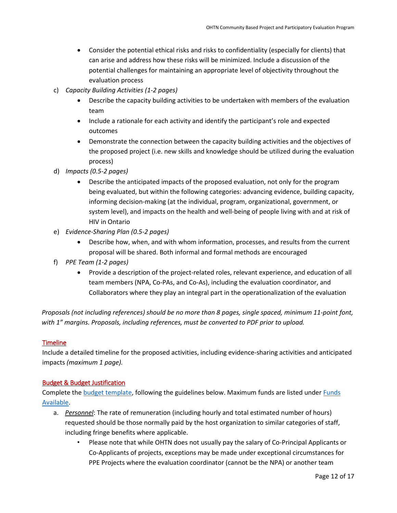- Consider the potential ethical risks and risks to confidentiality (especially for clients) that can arise and address how these risks will be minimized. Include a discussion of the potential challenges for maintaining an appropriate level of objectivity throughout the evaluation process
- c) *Capacity Building Activities (1-2 pages)*
	- Describe the capacity building activities to be undertaken with members of the evaluation team
	- Include a rationale for each activity and identify the participant's role and expected outcomes
	- Demonstrate the connection between the capacity building activities and the objectives of the proposed project (i.e. new skills and knowledge should be utilized during the evaluation process)
- d) *Impacts (0.5-2 pages)*
	- Describe the anticipated impacts of the proposed evaluation, not only for the program being evaluated, but within the following categories: advancing evidence, building capacity, informing decision-making (at the individual, program, organizational, government, or system level), and impacts on the health and well-being of people living with and at risk of HIV in Ontario
- e) *Evidence-Sharing Plan (0.5-2 pages)*
	- Describe how, when, and with whom information, processes, and results from the current proposal will be shared. Both informal and formal methods are encouraged
- f) *PPE Team (1-2 pages)*
	- Provide a description of the project-related roles, relevant experience, and education of all team members (NPA, Co-PAs, and Co-As), including the evaluation coordinator, and Collaborators where they play an integral part in the operationalization of the evaluation

*Proposals (not including references) should be no more than 8 pages, single spaced, minimum 11-point font, with 1" margins. Proposals, including references, must be converted to PDF prior to upload.*

## <span id="page-11-1"></span>**Timeline**

Include a detailed timeline for the proposed activities, including evidence-sharing activities and anticipated impacts *(maximum 1 page).*

#### <span id="page-11-0"></span>Budget & Budget Justification

Complete th[e budget template,](https://apply-ohtn-on.smapply.io/protected/resource/eyJoZnJlIjogOTkyMzg1MzAsICJ2cSI6IDE2MTg4Nn0/) following the guidelines below. Maximum funds are listed unde[r Funds](#page-2-2)  [Available.](#page-2-2)

- a. *Personnel*: The rate of remuneration (including hourly and total estimated number of hours) requested should be those normally paid by the host organization to similar categories of staff, including fringe benefits where applicable.
	- Please note that while OHTN does not usually pay the salary of Co-Principal Applicants or Co-Applicants of projects, exceptions may be made under exceptional circumstances for PPE Projects where the evaluation coordinator (cannot be the NPA) or another team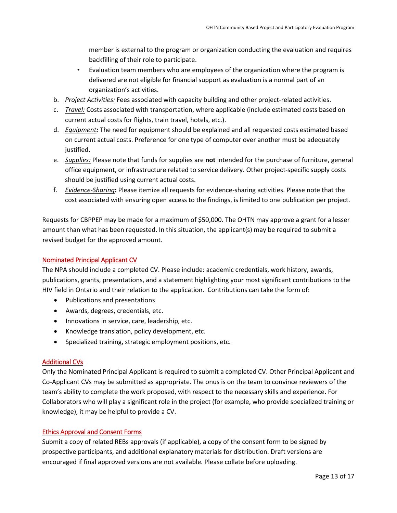member is external to the program or organization conducting the evaluation and requires backfilling of their role to participate.

- Evaluation team members who are employees of the organization where the program is delivered are not eligible for financial support as evaluation is a normal part of an organization's activities.
- b. *Project Activities:* Fees associated with capacity building and other project-related activities.
- c. *Travel:* Costs associated with transportation, where applicable (include estimated costs based on current actual costs for flights, train travel, hotels, etc.).
- d. *Equipment:* The need for equipment should be explained and all requested costs estimated based on current actual costs. Preference for one type of computer over another must be adequately justified.
- e. *Supplies:* Please note that funds for supplies are **not** intended for the purchase of furniture, general office equipment, or infrastructure related to service delivery. Other project-specific supply costs should be justified using current actual costs.
- f. *Evidence-Sharing***:** Please itemize all requests for evidence-sharing activities. Please note that the cost associated with ensuring open access to the findings, is limited to one publication per project.

Requests for CBPPEP may be made for a maximum of \$50,000. The OHTN may approve a grant for a lesser amount than what has been requested. In this situation, the applicant(s) may be required to submit a revised budget for the approved amount.

#### <span id="page-12-0"></span>Nominated Principal Applicant CV

The NPA should include a completed CV. Please include: academic credentials, work history, awards, publications, grants, presentations, and a statement highlighting your most significant contributions to the HIV field in Ontario and their relation to the application. Contributions can take the form of:

- Publications and presentations
- Awards, degrees, credentials, etc.
- Innovations in service, care, leadership, etc.
- Knowledge translation, policy development, etc.
- Specialized training, strategic employment positions, etc.

#### <span id="page-12-1"></span>Additional CVs

Only the Nominated Principal Applicant is required to submit a completed CV. Other Principal Applicant and Co-Applicant CVs may be submitted as appropriate. The onus is on the team to convince reviewers of the team's ability to complete the work proposed, with respect to the necessary skills and experience. For Collaborators who will play a significant role in the project (for example, who provide specialized training or knowledge), it may be helpful to provide a CV.

#### <span id="page-12-2"></span>Ethics Approval and Consent Forms

Submit a copy of related REBs approvals (if applicable), a copy of the consent form to be signed by prospective participants, and additional explanatory materials for distribution. Draft versions are encouraged if final approved versions are not available. Please collate before uploading.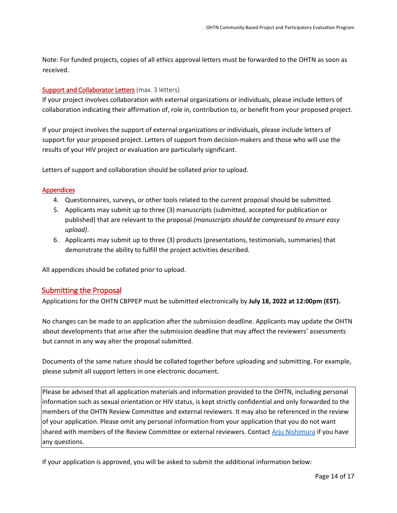Note: For funded projects, copies of all ethics approval letters must be forwarded to the OHTN as soon as received.

#### <span id="page-13-0"></span>Support and Collaborator Letters (max. 3 letters)

If your project involves collaboration with external organizations or individuals, please include letters of collaboration indicating their affirmation of, role in, contribution to, or benefit from your proposed project.

If your project involves the support of external organizations or individuals, please include letters of support for your proposed project. Letters of support from decision-makers and those who will use the results of your HIV project or evaluation are particularly significant.

Letters of support and collaboration should be collated prior to upload.

#### <span id="page-13-1"></span>Appendices

- 4. Questionnaires, surveys, or other tools related to the current proposal should be submitted.
- 5. Applicants may submit up to three (3) manuscripts (submitted, accepted for publication or published) that are relevant to the proposal *(manuscripts should be compressed to ensure easy upload)*.
- 6. Applicants may submit up to three (3) products (presentations, testimonials, summaries) that demonstrate the ability to fulfill the project activities described.

All appendices should be collated prior to upload.

## <span id="page-13-2"></span>Submitting the Proposal

Applications for the OHTN CBPPEP must be submitted electronically by **July 18, 2022 at 12:00pm (EST).**

No changes can be made to an application after the submission deadline. Applicants may update the OHTN about developments that arise after the submission deadline that may affect the reviewers' assessments but cannot in any way alter the proposal submitted.

Documents of the same nature should be collated together before uploading and submitting. For example, please submit all support letters in one electronic document.

Please be advised that all application materials and information provided to the OHTN, including personal information such as sexual orientation or HIV status, is kept strictly confidential and only forwarded to the members of the OHTN Review Committee and external reviewers. It may also be referenced in the review of your application. Please omit any personal information from your application that you do not want shared with members of the Review Committee or external reviewers. Contact [Arju Nishimura](mailto:anishimura@ohtn.on.ca?subject=CBR%20&%20Evaluation%20Application-%20Question%20about%20review%20process) if you have any questions.

<span id="page-13-3"></span>If your application is approved, you will be asked to submit the additional information below: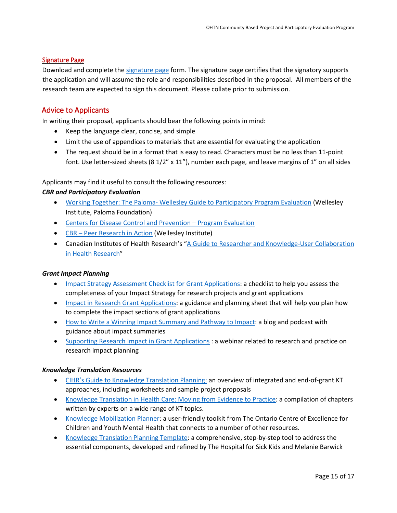#### Signature Page

Download and complete th[e signature page](http://www.ohtn.on.ca/wp-content/uploads/2018/10/Signature_Page-2018.doc) form. The signature page certifies that the signatory supports the application and will assume the role and responsibilities described in the proposal. All members of the research team are expected to sign this document. Please collate prior to submission.

## <span id="page-14-0"></span>Advice to Applicants

In writing their proposal, applicants should bear the following points in mind:

- Keep the language clear, concise, and simple
- Limit the use of appendices to materials that are essential for evaluating the application
- The request should be in a format that is easy to read. Characters must be no less than 11-point font. Use letter-sized sheets (8  $1/2$ " x  $11$ "), number each page, and leave margins of 1" on all sides

Applicants may find it useful to consult the following resources:

#### *CBR and Participatory Evaluation*

- Working Together: The Paloma- [Wellesley Guide to Participatory Program Evaluation](http://www.wellesleyinstitute.com/wp-content/uploads/2010/03/WorkingTogether1.pdf) (Wellesley Institute, Paloma Foundation)
- [Centers for Disease Control and Prevention –](http://www.cdc.gov/eval/) [Program Evaluation](http://www.cdc.gov/eval/)
- [CBR –](http://www.wellesleyinstitute.com/publication/peer-research-in-action/) [Peer Research in Action](http://www.wellesleyinstitute.com/publication/peer-research-in-action/) (Wellesley Institute)
- Canadian Institutes of Health Research's ["A Guide to Researcher and Knowledge-User Collaboration](http://www.cihr-irsc.gc.ca/e/44954.html) [in Health Research"](http://www.cihr-irsc.gc.ca/e/44954.html)

#### *Grant Impact Planning*

- [Impact Strategy Assessment Checklist for Grant Applications:](http://researchimpact.ca/wp-content/uploads/2018/08/Impact-Strategy-Assessment-Checklist.pdf) a checklist to help you assess the completeness of your Impact Strategy for research projects and grant applications
- [Impact in Research Grant Applications:](https://www.york.ac.uk/staff/research/research-impact/impact-in-grants/) a guidance and planning sheet that will help you plan how to complete the impact sections of grant applications
- How to Write [a Winning Impact Summary and Pathway to Impact:](https://www.fasttrackimpact.com/post/2017/06/01/how-to-write-an-impact-summary-and-pathway-to-impact) a blog and podcast with guidance about impact summaries
- [Supporting Research Impact in Grant Applications](http://researchimpact.ca/supporting-research-impact-in-grant-applications/) : a webinar related to research and practice on research impact planning

#### *Knowledge Translation Resources*

- [CIHR's Guide to Knowledge Translation Planning:](http://www.cihr-irsc.gc.ca/e/45321.html) an overview of integrated and end-of-grant KT approaches, including worksheets and sample project proposals
- [Knowledge Translation in Health Care: Moving from Evidence to Practice:](http://www.cihr-irsc.gc.ca/e/40618.html) a compilation of chapters written by experts on a wide range of KT topics.
- [Knowledge Mobilization Planner:](http://www.kmbtoolkit.ca/planning) a user-friendly toolkit from The Ontario Centre of Excellence for Children and Youth Mental Health that connects to a number of other resources.
- [Knowledge Translation Planning Template:](http://www.sickkids.ca/Learning/AbouttheInstitute/Programs/Knowledge-Translation/Resources/Resources.html) a comprehensive, step-by-step tool to address the essential components, developed and refined by The Hospital for Sick Kids and Melanie Barwick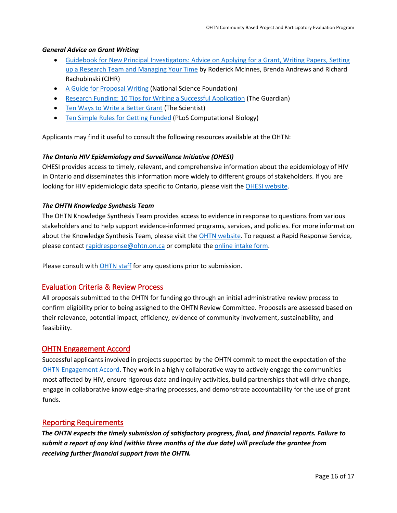#### *General Advice on Grant Writing*

- Guidebook for [New Principal Investigators: Advice on Applying for a Grant, Writing Papers, Setting](http://www.cihr-irsc.gc.ca/e/27491.html#1.5)  [up a Research Team and Managing Your Time](http://www.cihr-irsc.gc.ca/e/27491.html#1.5) by Roderick McInnes, Brenda Andrews and Richard Rachubinski (CIHR)
- [A Guide for Proposal Writing](http://www.nsf.gov/pubs/1998/nsf9891/nsf9891.htm) (National Science Foundation)
- [Research Funding: 10 Tips for Writing a Successful Application](http://www.theguardian.com/higher-education-network/blog/2013/apr/19/tips-successful-research-grant-funding?CMP=twt_gu) (The Guardian)
- [Ten Ways to Write a Better Grant](http://www.the-scientist.com/?articles.view/articleNo/24622/title/Ten-Ways-to-Write-a-Better-Grant/) (The Scientist)
- [Ten Simple Rules for Getting Funded](http://journals.plos.org/ploscompbiol/article?id=10.1371/journal.pcbi.0020012) (PLoS Computational Biology)

Applicants may find it useful to consult the following resources available at the OHTN:

#### *The Ontario HIV Epidemiology and Surveillance Initiative (OHESI)*

OHESI provides access to timely, relevant, and comprehensive information about the epidemiology of HIV in Ontario and disseminates this information more widely to different groups of stakeholders. If you are looking for HIV epidemiologic data specific to Ontario, please visit the [OHESI website.](http://www.ohesi.ca/)

#### *The OHTN Knowledge Synthesis Team*

The OHTN Knowledge Synthesis Team provides access to evidence in response to questions from various stakeholders and to help support evidence-informed programs, services, and policies. For more information about the Knowledge Synthesis Team, please visit the [OHTN website.](http://www.ohtn.on.ca/hiv-research-and-interventions-browse-by-resource-type/) To request a Rapid Response Service, please contac[t rapidresponse@ohtn.on.ca](mailto:rapidresponse@ohtn.on.ca) or complete the [online intake form.](http://www.ohtn.on.ca/rapid-response-service/)

Please consult with [OHTN staff](mailto:funding@ohtn.on.ca?subject=CBR%20Application) for any questions prior to submission.

## <span id="page-15-0"></span>Evaluation Criteria & Review Process

All proposals submitted to the OHTN for funding go through an initial administrative review process to confirm eligibility prior to being assigned to the OHTN Review Committee. Proposals are assessed based on their relevance, potential impact, efficiency, evidence of community involvement, sustainability, and feasibility.

#### <span id="page-15-1"></span>OHTN Engagement Accord

Successful applicants involved in projects supported by the OHTN commit to meet the expectation of the [OHTN Engagement Accord.](http://www.ohtn.on.ca/wp-content/uploads/research-funding/OHTN-Engagement-Accord.pdf) They work in a highly collaborative way to actively engage the communities most affected by HIV, ensure rigorous data and inquiry activities, build partnerships that will drive change, engage in collaborative knowledge-sharing processes, and demonstrate accountability for the use of grant funds.

## <span id="page-15-2"></span>Reporting Requirements

*The OHTN expects the timely submission of satisfactory progress, final, and financial reports. Failure to submit a report of any kind (within three months of the due date) will preclude the grantee from receiving further financial support from the OHTN.*